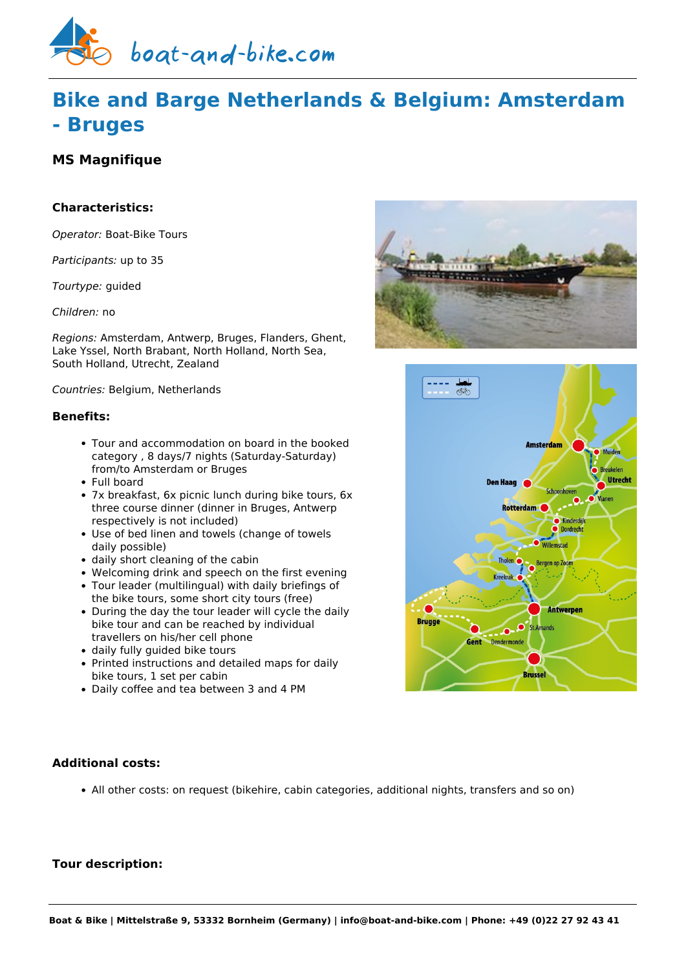

# **Bike and Barge Netherlands & Belgium: Amsterdam - Bruges**

## **MS Magnifique**

## **Characteristics:**

*Operator:* [Boat-Bike Tours](https://www.boat-and-bike.com/operator/boat-bike-tours.html)

*Participants:* up to 35

*Tourtype:* guided

*Children:* no

*Regions:* Amsterdam, Antwerp, Bruges, Flanders, Ghent, Lake Yssel, North Brabant, North Holland, North Sea, South Holland, Utrecht, Zealand

*Countries:* Belgium, Netherlands

#### **Benefits:**

- Tour and accommodation on board in the booked category , 8 days/7 nights (Saturday-Saturday) from/to Amsterdam or Bruges
- Full board
- 7x breakfast, 6x picnic lunch during bike tours, 6x three course dinner (dinner in Bruges, Antwerp respectively is not included)
- Use of bed linen and towels (change of towels daily possible)
- daily short cleaning of the cabin
- Welcoming drink and speech on the first evening
- Tour leader (multilingual) with daily briefings of the bike tours, some short city tours (free)
- During the day the tour leader will cycle the daily bike tour and can be reached by individual travellers on his/her cell phone
- daily fully quided bike tours
- Printed instructions and detailed maps for daily bike tours, 1 set per cabin
- Daily coffee and tea between 3 and 4 PM





## **Additional costs:**

All other costs: on request (bikehire, cabin categories, additional nights, transfers and so on)

## **Tour description:**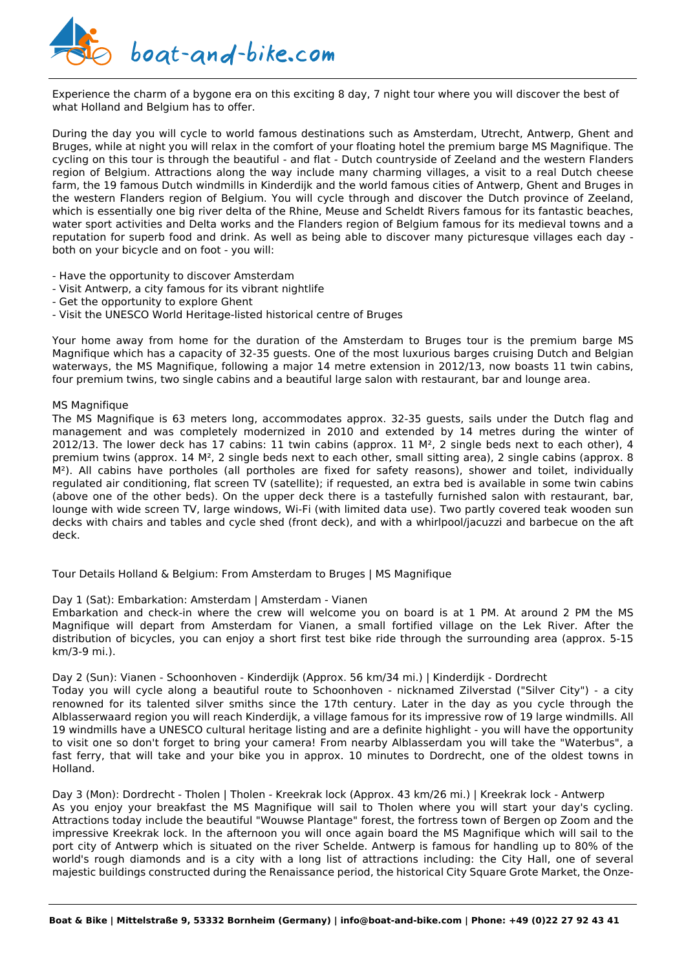

Experience the charm of a bygone era on this exciting 8 day, 7 night tour where you will discover the best of what Holland and Belgium has to offer.

During the day you will cycle to world famous destinations such as Amsterdam, Utrecht, Antwerp, Ghent and Bruges, while at night you will relax in the comfort of your floating hotel the premium barge MS Magnifique. The cycling on this tour is through the beautiful - and flat - Dutch countryside of Zeeland and the western Flanders region of Belgium. Attractions along the way include many charming villages, a visit to a real Dutch cheese farm, the 19 famous Dutch windmills in Kinderdijk and the world famous cities of Antwerp, Ghent and Bruges in the western Flanders region of Belgium. You will cycle through and discover the Dutch province of Zeeland, which is essentially one big river delta of the Rhine, Meuse and Scheldt Rivers famous for its fantastic beaches, water sport activities and Delta works and the Flanders region of Belgium famous for its medieval towns and a reputation for superb food and drink. As well as being able to discover many picturesque villages each day both on your bicycle and on foot - you will:

- Have the opportunity to discover Amsterdam
- Visit Antwerp, a city famous for its vibrant nightlife
- Get the opportunity to explore Ghent
- Visit the UNESCO World Heritage-listed historical centre of Bruges

Your home away from home for the duration of the Amsterdam to Bruges tour is the premium barge MS Magnifique which has a capacity of 32-35 guests. One of the most luxurious barges cruising Dutch and Belgian waterways, the MS Magnifique, following a major 14 metre extension in 2012/13, now boasts 11 twin cabins, four premium twins, two single cabins and a beautiful large salon with restaurant, bar and lounge area.

#### MS Magnifique

The MS Magnifique is 63 meters long, accommodates approx. 32-35 guests, sails under the Dutch flag and management and was completely modernized in 2010 and extended by 14 metres during the winter of 2012/13. The lower deck has 17 cabins: 11 twin cabins (approx. 11  $M<sup>2</sup>$ , 2 single beds next to each other), 4 premium twins (approx. 14 M², 2 single beds next to each other, small sitting area), 2 single cabins (approx. 8 M²). All cabins have portholes (all portholes are fixed for safety reasons), shower and toilet, individually regulated air conditioning, flat screen TV (satellite); if requested, an extra bed is available in some twin cabins (above one of the other beds). On the upper deck there is a tastefully furnished salon with restaurant, bar, lounge with wide screen TV, large windows, Wi-Fi (with limited data use). Two partly covered teak wooden sun decks with chairs and tables and cycle shed (front deck), and with a whirlpool/jacuzzi and barbecue on the aft deck.

Tour Details Holland & Belgium: From Amsterdam to Bruges | MS Magnifique

#### Day 1 (Sat): Embarkation: Amsterdam | Amsterdam - Vianen

Embarkation and check-in where the crew will welcome you on board is at 1 PM. At around 2 PM the MS Magnifique will depart from Amsterdam for Vianen, a small fortified village on the Lek River. After the distribution of bicycles, you can enjoy a short first test bike ride through the surrounding area (approx. 5-15 km/3-9 mi.).

Day 2 (Sun): Vianen - Schoonhoven - Kinderdijk (Approx. 56 km/34 mi.) | Kinderdijk - Dordrecht

Today you will cycle along a beautiful route to Schoonhoven - nicknamed Zilverstad ("Silver City") - a city renowned for its talented silver smiths since the 17th century. Later in the day as you cycle through the Alblasserwaard region you will reach Kinderdijk, a village famous for its impressive row of 19 large windmills. All 19 windmills have a UNESCO cultural heritage listing and are a definite highlight - you will have the opportunity to visit one so don't forget to bring your camera! From nearby Alblasserdam you will take the "Waterbus", a fast ferry, that will take and your bike you in approx. 10 minutes to Dordrecht, one of the oldest towns in Holland.

Day 3 (Mon): Dordrecht - Tholen | Tholen - Kreekrak lock (Approx. 43 km/26 mi.) | Kreekrak lock - Antwerp As you enjoy your breakfast the MS Magnifique will sail to Tholen where you will start your day's cycling. Attractions today include the beautiful "Wouwse Plantage" forest, the fortress town of Bergen op Zoom and the impressive Kreekrak lock. In the afternoon you will once again board the MS Magnifique which will sail to the port city of Antwerp which is situated on the river Schelde. Antwerp is famous for handling up to 80% of the world's rough diamonds and is a city with a long list of attractions including: the City Hall, one of several majestic buildings constructed during the Renaissance period, the historical City Square Grote Market, the Onze-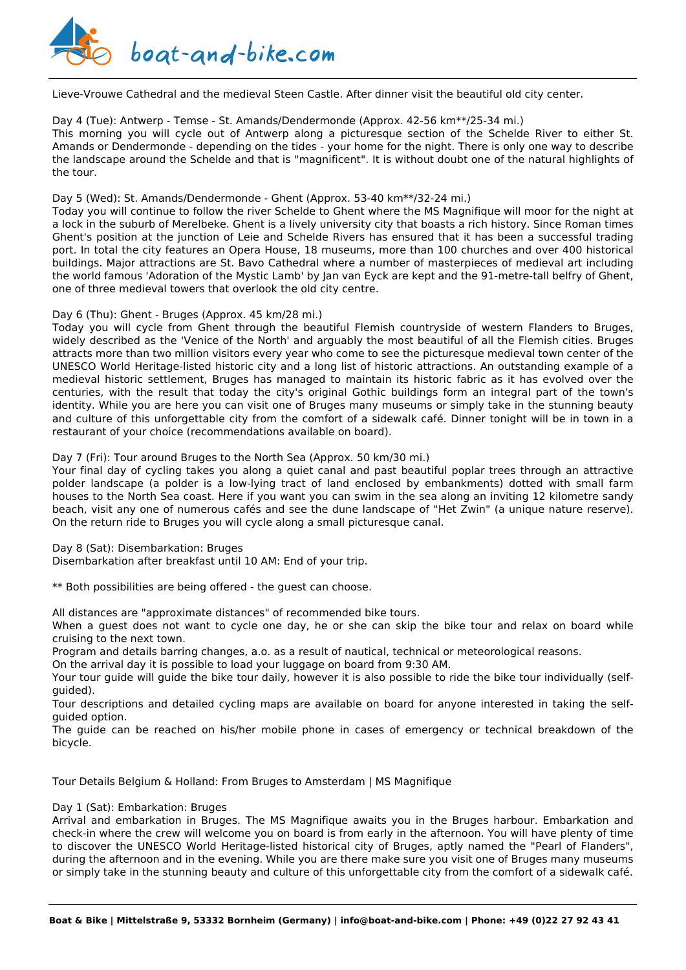

Lieve-Vrouwe Cathedral and the medieval Steen Castle. After dinner visit the beautiful old city center.

#### Day 4 (Tue): Antwerp - Temse - St. Amands/Dendermonde (Approx. 42-56 km\*\*/25-34 mi.)

This morning you will cycle out of Antwerp along a picturesque section of the Schelde River to either St. Amands or Dendermonde - depending on the tides - your home for the night. There is only one way to describe the landscape around the Schelde and that is "magnificent". It is without doubt one of the natural highlights of the tour.

#### Day 5 (Wed): St. Amands/Dendermonde - Ghent (Approx. 53-40 km\*\*/32-24 mi.)

Today you will continue to follow the river Schelde to Ghent where the MS Magnifique will moor for the night at a lock in the suburb of Merelbeke. Ghent is a lively university city that boasts a rich history. Since Roman times Ghent's position at the junction of Leie and Schelde Rivers has ensured that it has been a successful trading port. In total the city features an Opera House, 18 museums, more than 100 churches and over 400 historical buildings. Major attractions are St. Bavo Cathedral where a number of masterpieces of medieval art including the world famous 'Adoration of the Mystic Lamb' by Jan van Eyck are kept and the 91-metre-tall belfry of Ghent, one of three medieval towers that overlook the old city centre.

#### Day 6 (Thu): Ghent - Bruges (Approx. 45 km/28 mi.)

Today you will cycle from Ghent through the beautiful Flemish countryside of western Flanders to Bruges, widely described as the 'Venice of the North' and arguably the most beautiful of all the Flemish cities. Bruges attracts more than two million visitors every year who come to see the picturesque medieval town center of the UNESCO World Heritage-listed historic city and a long list of historic attractions. An outstanding example of a medieval historic settlement, Bruges has managed to maintain its historic fabric as it has evolved over the centuries, with the result that today the city's original Gothic buildings form an integral part of the town's identity. While you are here you can visit one of Bruges many museums or simply take in the stunning beauty and culture of this unforgettable city from the comfort of a sidewalk café. Dinner tonight will be in town in a restaurant of your choice (recommendations available on board).

#### Day 7 (Fri): Tour around Bruges to the North Sea (Approx. 50 km/30 mi.)

Your final day of cycling takes you along a quiet canal and past beautiful poplar trees through an attractive polder landscape (a polder is a low-lying tract of land enclosed by embankments) dotted with small farm houses to the North Sea coast. Here if you want you can swim in the sea along an inviting 12 kilometre sandy beach, visit any one of numerous cafés and see the dune landscape of "Het Zwin" (a unique nature reserve). On the return ride to Bruges you will cycle along a small picturesque canal.

Day 8 (Sat): Disembarkation: Bruges

Disembarkation after breakfast until 10 AM: End of your trip.

\*\* Both possibilities are being offered - the guest can choose.

All distances are "approximate distances" of recommended bike tours.

When a guest does not want to cycle one day, he or she can skip the bike tour and relax on board while cruising to the next town.

Program and details barring changes, a.o. as a result of nautical, technical or meteorological reasons.

On the arrival day it is possible to load your luggage on board from 9:30 AM.

Your tour guide will guide the bike tour daily, however it is also possible to ride the bike tour individually (selfguided).

Tour descriptions and detailed cycling maps are available on board for anyone interested in taking the selfguided option.

The guide can be reached on his/her mobile phone in cases of emergency or technical breakdown of the bicycle.

Tour Details Belgium & Holland: From Bruges to Amsterdam | MS Magnifique

Day 1 (Sat): Embarkation: Bruges

Arrival and embarkation in Bruges. The MS Magnifique awaits you in the Bruges harbour. Embarkation and check-in where the crew will welcome you on board is from early in the afternoon. You will have plenty of time to discover the UNESCO World Heritage-listed historical city of Bruges, aptly named the "Pearl of Flanders", during the afternoon and in the evening. While you are there make sure you visit one of Bruges many museums or simply take in the stunning beauty and culture of this unforgettable city from the comfort of a sidewalk café.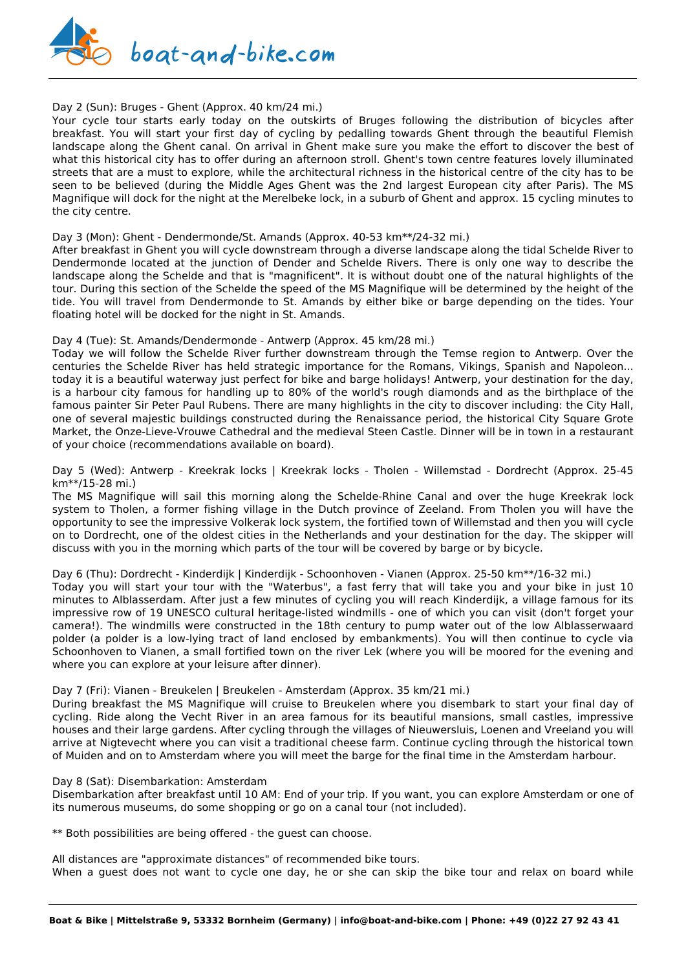

#### Day 2 (Sun): Bruges - Ghent (Approx. 40 km/24 mi.)

Your cycle tour starts early today on the outskirts of Bruges following the distribution of bicycles after breakfast. You will start your first day of cycling by pedalling towards Ghent through the beautiful Flemish landscape along the Ghent canal. On arrival in Ghent make sure you make the effort to discover the best of what this historical city has to offer during an afternoon stroll. Ghent's town centre features lovely illuminated streets that are a must to explore, while the architectural richness in the historical centre of the city has to be seen to be believed (during the Middle Ages Ghent was the 2nd largest European city after Paris). The MS Magnifique will dock for the night at the Merelbeke lock, in a suburb of Ghent and approx. 15 cycling minutes to the city centre.

#### Day 3 (Mon): Ghent - Dendermonde/St. Amands (Approx. 40-53 km\*\*/24-32 mi.)

After breakfast in Ghent you will cycle downstream through a diverse landscape along the tidal Schelde River to Dendermonde located at the junction of Dender and Schelde Rivers. There is only one way to describe the landscape along the Schelde and that is "magnificent". It is without doubt one of the natural highlights of the tour. During this section of the Schelde the speed of the MS Magnifique will be determined by the height of the tide. You will travel from Dendermonde to St. Amands by either bike or barge depending on the tides. Your floating hotel will be docked for the night in St. Amands.

#### Day 4 (Tue): St. Amands/Dendermonde - Antwerp (Approx. 45 km/28 mi.)

Today we will follow the Schelde River further downstream through the Temse region to Antwerp. Over the centuries the Schelde River has held strategic importance for the Romans, Vikings, Spanish and Napoleon... today it is a beautiful waterway just perfect for bike and barge holidays! Antwerp, your destination for the day, is a harbour city famous for handling up to 80% of the world's rough diamonds and as the birthplace of the famous painter Sir Peter Paul Rubens. There are many highlights in the city to discover including: the City Hall, one of several majestic buildings constructed during the Renaissance period, the historical City Square Grote Market, the Onze-Lieve-Vrouwe Cathedral and the medieval Steen Castle. Dinner will be in town in a restaurant of your choice (recommendations available on board).

Day 5 (Wed): Antwerp - Kreekrak locks | Kreekrak locks - Tholen - Willemstad - Dordrecht (Approx. 25-45 km\*\*/15-28 mi.)

The MS Magnifique will sail this morning along the Schelde-Rhine Canal and over the huge Kreekrak lock system to Tholen, a former fishing village in the Dutch province of Zeeland. From Tholen you will have the opportunity to see the impressive Volkerak lock system, the fortified town of Willemstad and then you will cycle on to Dordrecht, one of the oldest cities in the Netherlands and your destination for the day. The skipper will discuss with you in the morning which parts of the tour will be covered by barge or by bicycle.

Day 6 (Thu): Dordrecht - Kinderdijk | Kinderdijk - Schoonhoven - Vianen (Approx. 25-50 km\*\*/16-32 mi.)

Today you will start your tour with the "Waterbus", a fast ferry that will take you and your bike in just 10 minutes to Alblasserdam. After just a few minutes of cycling you will reach Kinderdijk, a village famous for its impressive row of 19 UNESCO cultural heritage-listed windmills - one of which you can visit (don't forget your camera!). The windmills were constructed in the 18th century to pump water out of the low Alblasserwaard polder (a polder is a low-lying tract of land enclosed by embankments). You will then continue to cycle via Schoonhoven to Vianen, a small fortified town on the river Lek (where you will be moored for the evening and where you can explore at your leisure after dinner).

#### Day 7 (Fri): Vianen - Breukelen | Breukelen - Amsterdam (Approx. 35 km/21 mi.)

During breakfast the MS Magnifique will cruise to Breukelen where you disembark to start your final day of cycling. Ride along the Vecht River in an area famous for its beautiful mansions, small castles, impressive houses and their large gardens. After cycling through the villages of Nieuwersluis, Loenen and Vreeland you will arrive at Nigtevecht where you can visit a traditional cheese farm. Continue cycling through the historical town of Muiden and on to Amsterdam where you will meet the barge for the final time in the Amsterdam harbour.

#### Day 8 (Sat): Disembarkation: Amsterdam

Disembarkation after breakfast until 10 AM: End of your trip. If you want, you can explore Amsterdam or one of its numerous museums, do some shopping or go on a canal tour (not included).

\*\* Both possibilities are being offered - the guest can choose.

All distances are "approximate distances" of recommended bike tours. When a guest does not want to cycle one day, he or she can skip the bike tour and relax on board while